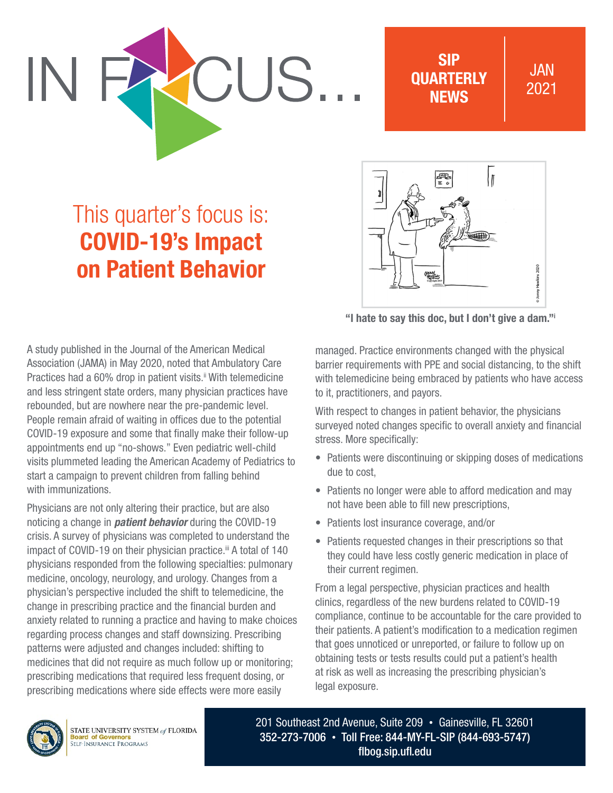SIP **OUARTERLY** NEWS

## JAN 2021

# This quarter's focus is: COVID-19's Impact on Patient Behavior

CUS.

l T 鳳 Hawkins 2020

"I hate to say this doc, but I don't give a dam."i

A study published in the Journal of the American Medical Association (JAMA) in May 2020, noted that Ambulatory Care Practices had a 60% drop in patient visits.<sup>ii</sup> With telemedicine and less stringent state orders, many physician practices have rebounded, but are nowhere near the pre-pandemic level. People remain afraid of waiting in offices due to the potential COVID-19 exposure and some that finally make their follow-up appointments end up "no-shows." Even pediatric well-child visits plummeted leading the American Academy of Pediatrics to start a campaign to prevent children from falling behind with immunizations.

Physicians are not only altering their practice, but are also noticing a change in *patient behavior* during the COVID-19 crisis. A survey of physicians was completed to understand the impact of COVID-19 on their physician practice.<sup>ii</sup> A total of 140 physicians responded from the following specialties: pulmonary medicine, oncology, neurology, and urology. Changes from a physician's perspective included the shift to telemedicine, the change in prescribing practice and the financial burden and anxiety related to running a practice and having to make choices regarding process changes and staff downsizing. Prescribing patterns were adjusted and changes included: shifting to medicines that did not require as much follow up or monitoring; prescribing medications that required less frequent dosing, or prescribing medications where side effects were more easily

managed. Practice environments changed with the physical barrier requirements with PPE and social distancing, to the shift with telemedicine being embraced by patients who have access to it, practitioners, and payors.

With respect to changes in patient behavior, the physicians surveyed noted changes specific to overall anxiety and financial stress. More specifically:

- Patients were discontinuing or skipping doses of medications due to cost,
- Patients no longer were able to afford medication and may not have been able to fill new prescriptions,
- Patients lost insurance coverage, and/or
- Patients requested changes in their prescriptions so that they could have less costly generic medication in place of their current regimen.

From a legal perspective, physician practices and health clinics, regardless of the new burdens related to COVID-19 compliance, continue to be accountable for the care provided to their patients. A patient's modification to a medication regimen that goes unnoticed or unreported, or failure to follow up on obtaining tests or tests results could put a patient's health at risk as well as increasing the prescribing physician's legal exposure.



201 Southeast 2nd Avenue, Suite 209 • Gainesville, FL 32601 352-273-7006 • Toll Free: 844-MY-FL-SIP (844-693-5747) [flbog.sip.ufl.edu](http://flbog.sip.ufl.edu)